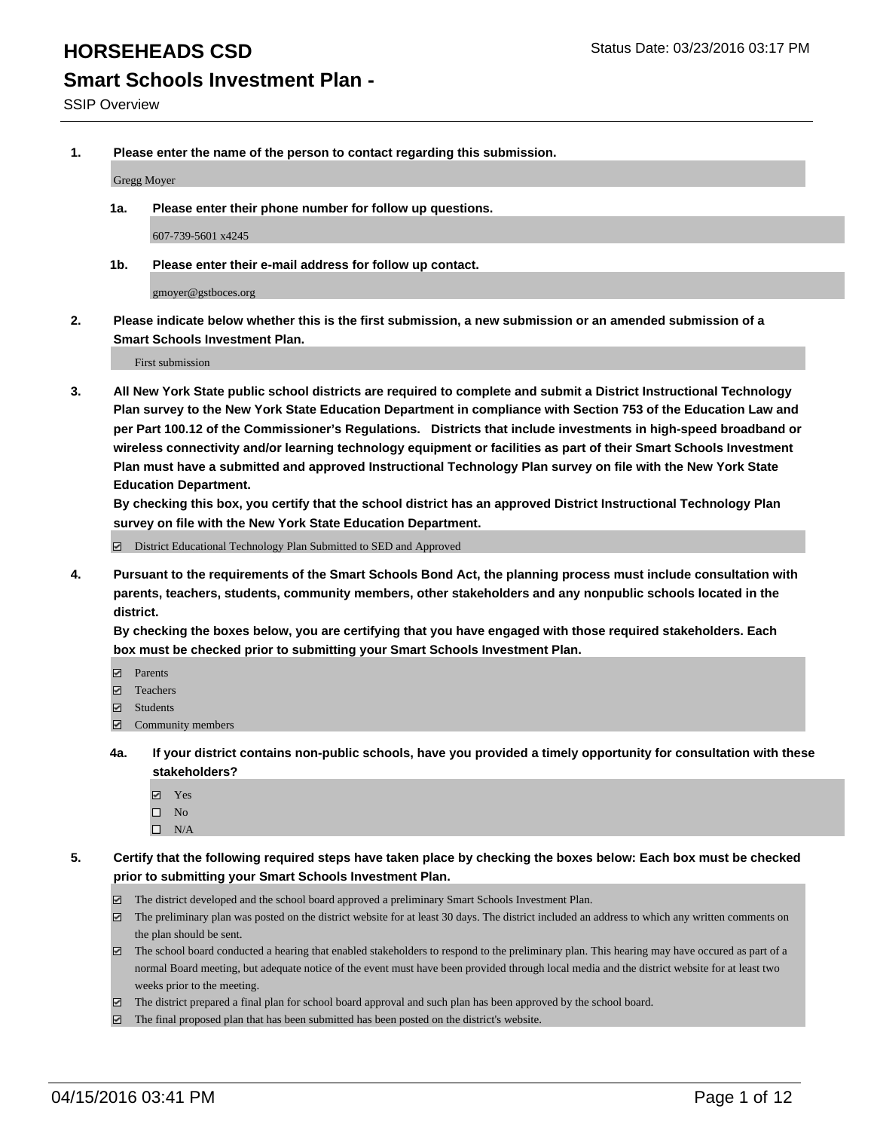# **Smart Schools Investment Plan -**

**1. Please enter the name of the person to contact regarding this submission.**

Gregg Moyer

**1a. Please enter their phone number for follow up questions.**

607-739-5601 x4245

**1b. Please enter their e-mail address for follow up contact.**

gmoyer@gstboces.org

**2. Please indicate below whether this is the first submission, a new submission or an amended submission of a Smart Schools Investment Plan.**

First submission

**3. All New York State public school districts are required to complete and submit a District Instructional Technology Plan survey to the New York State Education Department in compliance with Section 753 of the Education Law and per Part 100.12 of the Commissioner's Regulations. Districts that include investments in high-speed broadband or wireless connectivity and/or learning technology equipment or facilities as part of their Smart Schools Investment Plan must have a submitted and approved Instructional Technology Plan survey on file with the New York State Education Department.** 

**By checking this box, you certify that the school district has an approved District Instructional Technology Plan survey on file with the New York State Education Department.**

■ District Educational Technology Plan Submitted to SED and Approved

**4. Pursuant to the requirements of the Smart Schools Bond Act, the planning process must include consultation with parents, teachers, students, community members, other stakeholders and any nonpublic schools located in the district.** 

**By checking the boxes below, you are certifying that you have engaged with those required stakeholders. Each box must be checked prior to submitting your Smart Schools Investment Plan.**

- **Parents**
- □ Teachers
- Students
- $\boxdot$  Community members
- **4a. If your district contains non-public schools, have you provided a timely opportunity for consultation with these stakeholders?**
	- Yes
	- $\square$  No
	- $\Box$  N/A
- **5. Certify that the following required steps have taken place by checking the boxes below: Each box must be checked prior to submitting your Smart Schools Investment Plan.**
	- The district developed and the school board approved a preliminary Smart Schools Investment Plan.
	- The preliminary plan was posted on the district website for at least 30 days. The district included an address to which any written comments on the plan should be sent.
	- $\Box$  The school board conducted a hearing that enabled stakeholders to respond to the preliminary plan. This hearing may have occured as part of a normal Board meeting, but adequate notice of the event must have been provided through local media and the district website for at least two weeks prior to the meeting.
	- The district prepared a final plan for school board approval and such plan has been approved by the school board.
	- The final proposed plan that has been submitted has been posted on the district's website.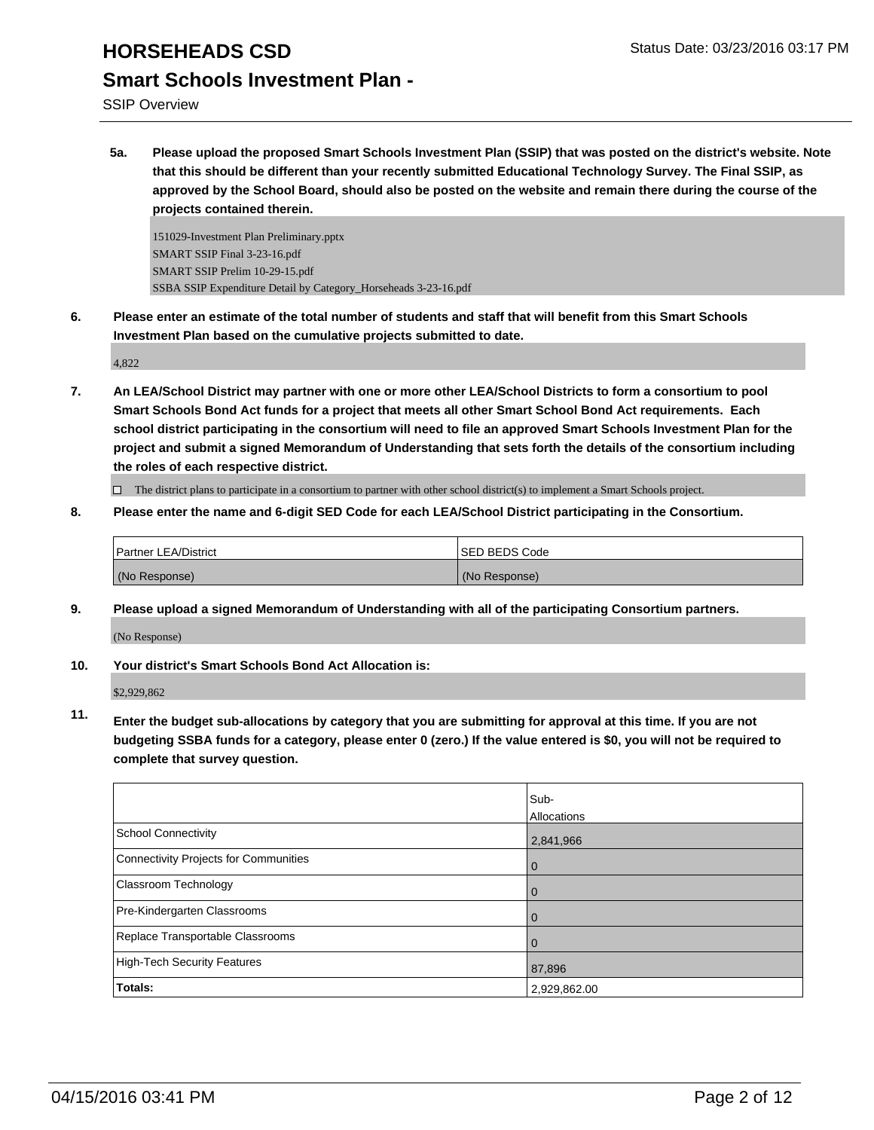SSIP Overview

**5a. Please upload the proposed Smart Schools Investment Plan (SSIP) that was posted on the district's website. Note that this should be different than your recently submitted Educational Technology Survey. The Final SSIP, as approved by the School Board, should also be posted on the website and remain there during the course of the projects contained therein.**

151029-Investment Plan Preliminary.pptx SMART SSIP Final 3-23-16.pdf SMART SSIP Prelim 10-29-15.pdf SSBA SSIP Expenditure Detail by Category\_Horseheads 3-23-16.pdf

**6. Please enter an estimate of the total number of students and staff that will benefit from this Smart Schools Investment Plan based on the cumulative projects submitted to date.**

4,822

**7. An LEA/School District may partner with one or more other LEA/School Districts to form a consortium to pool Smart Schools Bond Act funds for a project that meets all other Smart School Bond Act requirements. Each school district participating in the consortium will need to file an approved Smart Schools Investment Plan for the project and submit a signed Memorandum of Understanding that sets forth the details of the consortium including the roles of each respective district.**

 $\Box$  The district plans to participate in a consortium to partner with other school district(s) to implement a Smart Schools project.

**8. Please enter the name and 6-digit SED Code for each LEA/School District participating in the Consortium.**

| Partner LEA/District | <b>ISED BEDS Code</b> |
|----------------------|-----------------------|
| (No Response)        | (No Response)         |

**9. Please upload a signed Memorandum of Understanding with all of the participating Consortium partners.** (No Response)

**10. Your district's Smart Schools Bond Act Allocation is:**

\$2,929,862

**11. Enter the budget sub-allocations by category that you are submitting for approval at this time. If you are not budgeting SSBA funds for a category, please enter 0 (zero.) If the value entered is \$0, you will not be required to complete that survey question.**

|                                       | Sub-         |
|---------------------------------------|--------------|
|                                       | Allocations  |
| School Connectivity                   | 2,841,966    |
| Connectivity Projects for Communities | O            |
| Classroom Technology                  | O            |
| Pre-Kindergarten Classrooms           |              |
| Replace Transportable Classrooms      |              |
| High-Tech Security Features           | 87,896       |
| Totals:                               | 2,929,862.00 |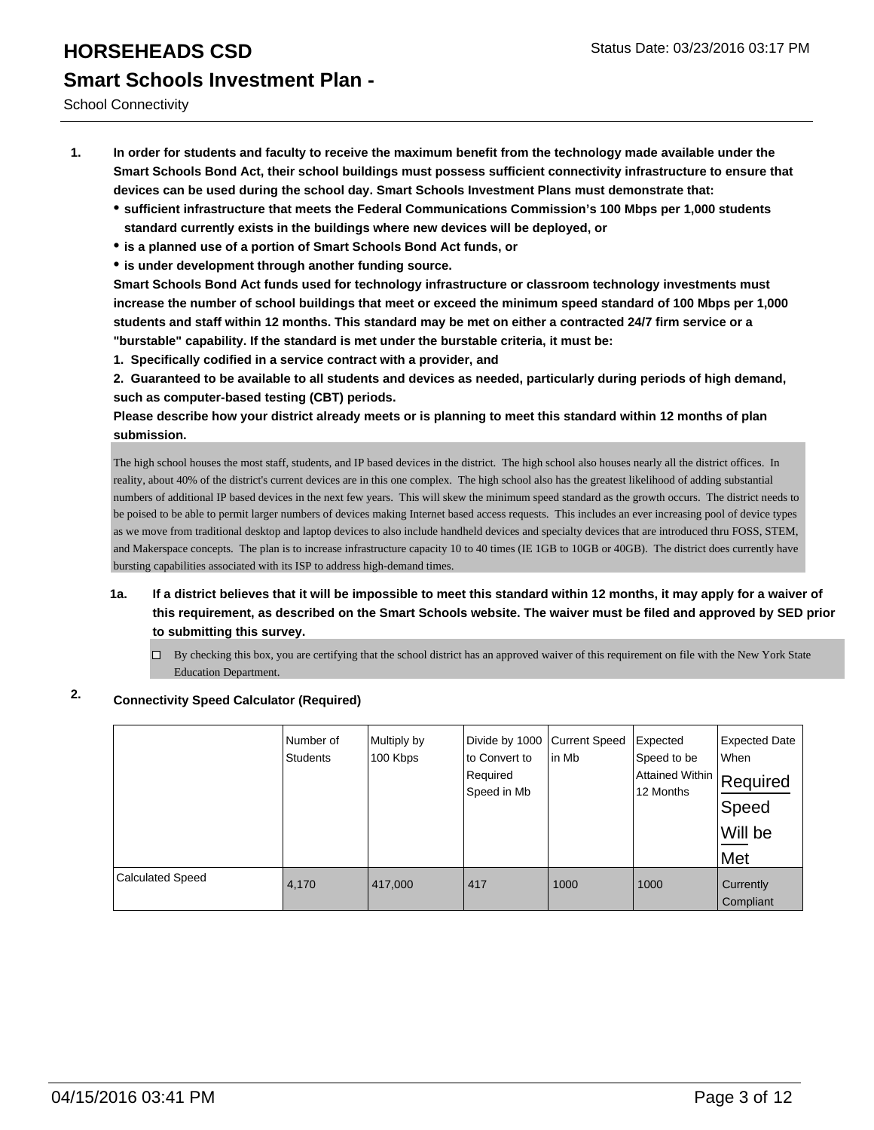School Connectivity

- **1. In order for students and faculty to receive the maximum benefit from the technology made available under the Smart Schools Bond Act, their school buildings must possess sufficient connectivity infrastructure to ensure that devices can be used during the school day. Smart Schools Investment Plans must demonstrate that:**
	- **sufficient infrastructure that meets the Federal Communications Commission's 100 Mbps per 1,000 students standard currently exists in the buildings where new devices will be deployed, or**
	- **is a planned use of a portion of Smart Schools Bond Act funds, or**
	- **is under development through another funding source.**

**Smart Schools Bond Act funds used for technology infrastructure or classroom technology investments must increase the number of school buildings that meet or exceed the minimum speed standard of 100 Mbps per 1,000 students and staff within 12 months. This standard may be met on either a contracted 24/7 firm service or a "burstable" capability. If the standard is met under the burstable criteria, it must be:**

**1. Specifically codified in a service contract with a provider, and**

**2. Guaranteed to be available to all students and devices as needed, particularly during periods of high demand, such as computer-based testing (CBT) periods.**

**Please describe how your district already meets or is planning to meet this standard within 12 months of plan submission.**

The high school houses the most staff, students, and IP based devices in the district. The high school also houses nearly all the district offices. In reality, about 40% of the district's current devices are in this one complex. The high school also has the greatest likelihood of adding substantial numbers of additional IP based devices in the next few years. This will skew the minimum speed standard as the growth occurs. The district needs to be poised to be able to permit larger numbers of devices making Internet based access requests. This includes an ever increasing pool of device types as we move from traditional desktop and laptop devices to also include handheld devices and specialty devices that are introduced thru FOSS, STEM, and Makerspace concepts. The plan is to increase infrastructure capacity 10 to 40 times (IE 1GB to 10GB or 40GB). The district does currently have bursting capabilities associated with its ISP to address high-demand times.

**1a. If a district believes that it will be impossible to meet this standard within 12 months, it may apply for a waiver of this requirement, as described on the Smart Schools website. The waiver must be filed and approved by SED prior to submitting this survey.**

 $\Box$  By checking this box, you are certifying that the school district has an approved waiver of this requirement on file with the New York State Education Department.

## **2. Connectivity Speed Calculator (Required)**

|                         | Number of<br><b>Students</b> | Multiply by<br>100 Kbps | Divide by 1000<br>to Convert to<br>Required<br>Speed in Mb | Current Speed<br>lin Mb | Expected<br>Speed to be<br>Attained Within Required<br>12 Months | <b>Expected Date</b><br>When<br>Speed<br>Will be<br>Met |
|-------------------------|------------------------------|-------------------------|------------------------------------------------------------|-------------------------|------------------------------------------------------------------|---------------------------------------------------------|
| <b>Calculated Speed</b> | 4,170                        | 417,000                 | 417                                                        | 1000                    | 1000                                                             | Currently<br>Compliant                                  |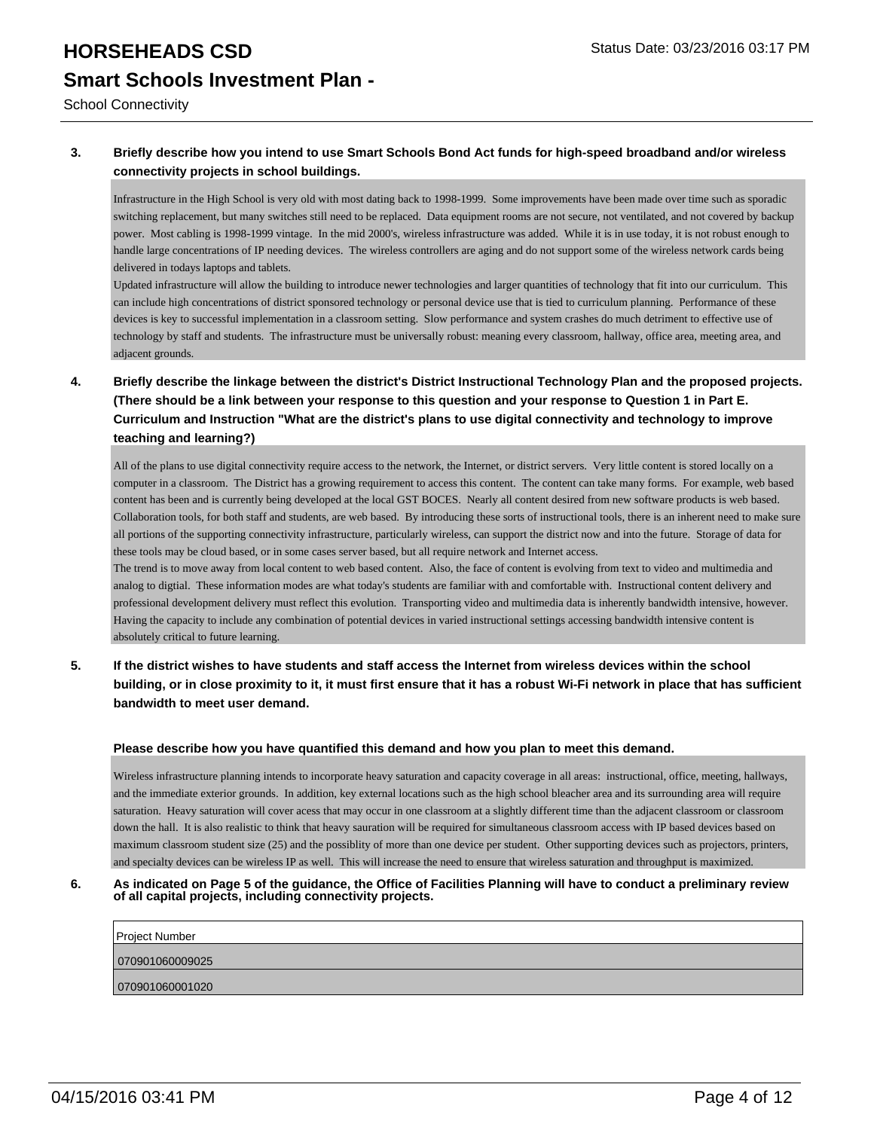School Connectivity

#### **3. Briefly describe how you intend to use Smart Schools Bond Act funds for high-speed broadband and/or wireless connectivity projects in school buildings.**

Infrastructure in the High School is very old with most dating back to 1998-1999. Some improvements have been made over time such as sporadic switching replacement, but many switches still need to be replaced. Data equipment rooms are not secure, not ventilated, and not covered by backup power. Most cabling is 1998-1999 vintage. In the mid 2000's, wireless infrastructure was added. While it is in use today, it is not robust enough to handle large concentrations of IP needing devices. The wireless controllers are aging and do not support some of the wireless network cards being delivered in todays laptops and tablets.

Updated infrastructure will allow the building to introduce newer technologies and larger quantities of technology that fit into our curriculum. This can include high concentrations of district sponsored technology or personal device use that is tied to curriculum planning. Performance of these devices is key to successful implementation in a classroom setting. Slow performance and system crashes do much detriment to effective use of technology by staff and students. The infrastructure must be universally robust: meaning every classroom, hallway, office area, meeting area, and adjacent grounds.

**4. Briefly describe the linkage between the district's District Instructional Technology Plan and the proposed projects. (There should be a link between your response to this question and your response to Question 1 in Part E. Curriculum and Instruction "What are the district's plans to use digital connectivity and technology to improve teaching and learning?)**

All of the plans to use digital connectivity require access to the network, the Internet, or district servers. Very little content is stored locally on a computer in a classroom. The District has a growing requirement to access this content. The content can take many forms. For example, web based content has been and is currently being developed at the local GST BOCES. Nearly all content desired from new software products is web based. Collaboration tools, for both staff and students, are web based. By introducing these sorts of instructional tools, there is an inherent need to make sure all portions of the supporting connectivity infrastructure, particularly wireless, can support the district now and into the future. Storage of data for these tools may be cloud based, or in some cases server based, but all require network and Internet access.

The trend is to move away from local content to web based content. Also, the face of content is evolving from text to video and multimedia and analog to digtial. These information modes are what today's students are familiar with and comfortable with. Instructional content delivery and professional development delivery must reflect this evolution. Transporting video and multimedia data is inherently bandwidth intensive, however. Having the capacity to include any combination of potential devices in varied instructional settings accessing bandwidth intensive content is absolutely critical to future learning.

**5. If the district wishes to have students and staff access the Internet from wireless devices within the school building, or in close proximity to it, it must first ensure that it has a robust Wi-Fi network in place that has sufficient bandwidth to meet user demand.**

#### **Please describe how you have quantified this demand and how you plan to meet this demand.**

Wireless infrastructure planning intends to incorporate heavy saturation and capacity coverage in all areas: instructional, office, meeting, hallways, and the immediate exterior grounds. In addition, key external locations such as the high school bleacher area and its surrounding area will require saturation. Heavy saturation will cover acess that may occur in one classroom at a slightly different time than the adjacent classroom or classroom down the hall. It is also realistic to think that heavy sauration will be required for simultaneous classroom access with IP based devices based on maximum classroom student size (25) and the possiblity of more than one device per student. Other supporting devices such as projectors, printers, and specialty devices can be wireless IP as well. This will increase the need to ensure that wireless saturation and throughput is maximized.

#### **6. As indicated on Page 5 of the guidance, the Office of Facilities Planning will have to conduct a preliminary review of all capital projects, including connectivity projects.**

Project Number 070901060009025 070901060001020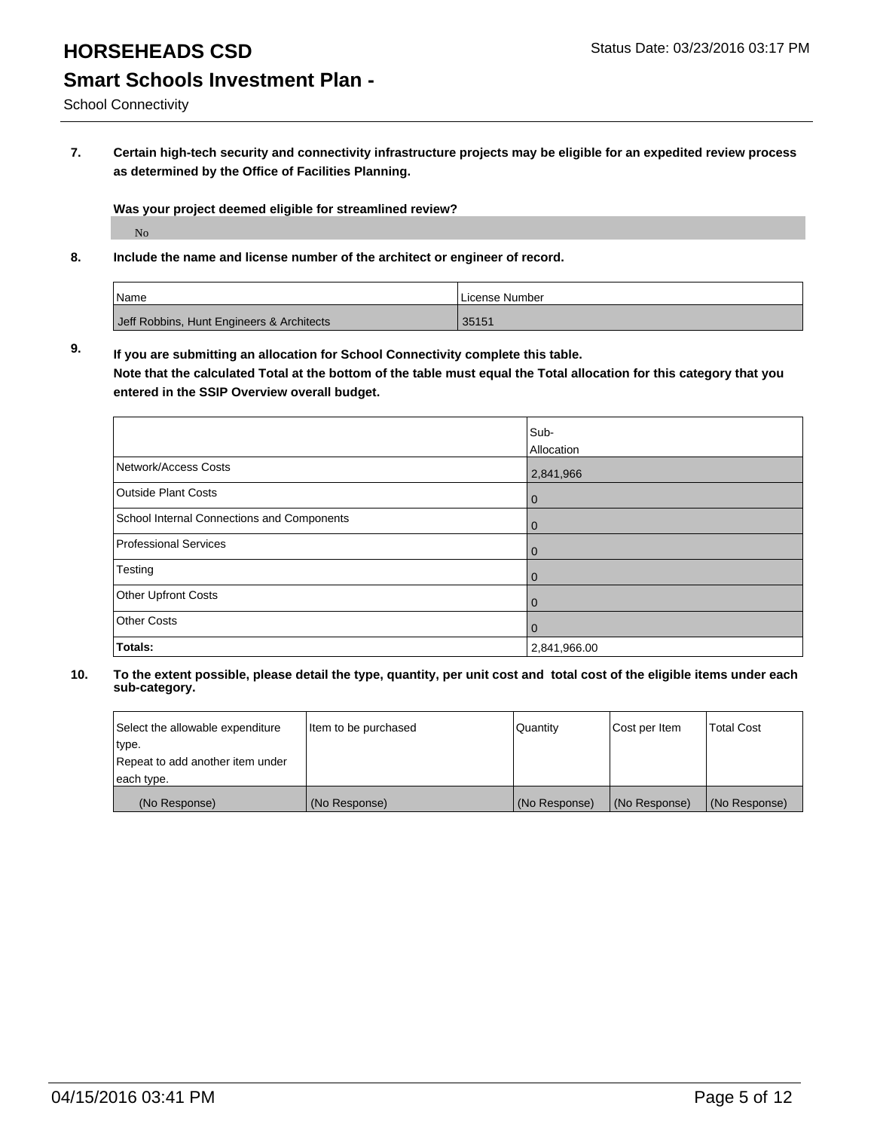School Connectivity

**7. Certain high-tech security and connectivity infrastructure projects may be eligible for an expedited review process as determined by the Office of Facilities Planning.**

**Was your project deemed eligible for streamlined review?** No

**8. Include the name and license number of the architect or engineer of record.**

| Name                                      | I License Number |
|-------------------------------------------|------------------|
| Jeff Robbins, Hunt Engineers & Architects | 35151            |

**9. If you are submitting an allocation for School Connectivity complete this table. Note that the calculated Total at the bottom of the table must equal the Total allocation for this category that you**

**entered in the SSIP Overview overall budget.** 

|                                            | Sub-<br>Allocation |
|--------------------------------------------|--------------------|
| Network/Access Costs                       | 2,841,966          |
| <b>Outside Plant Costs</b>                 | 0                  |
| School Internal Connections and Components | 0                  |
| Professional Services                      | $\mathbf 0$        |
| Testing                                    | $\mathbf 0$        |
| <b>Other Upfront Costs</b>                 | $\Omega$           |
| <b>Other Costs</b>                         | $\mathbf 0$        |
| Totals:                                    | 2,841,966.00       |

| Select the allowable expenditure | Item to be purchased | Quantity      | Cost per Item | <b>Total Cost</b> |
|----------------------------------|----------------------|---------------|---------------|-------------------|
| type.                            |                      |               |               |                   |
| Repeat to add another item under |                      |               |               |                   |
| each type.                       |                      |               |               |                   |
| (No Response)                    | (No Response)        | (No Response) | (No Response) | (No Response)     |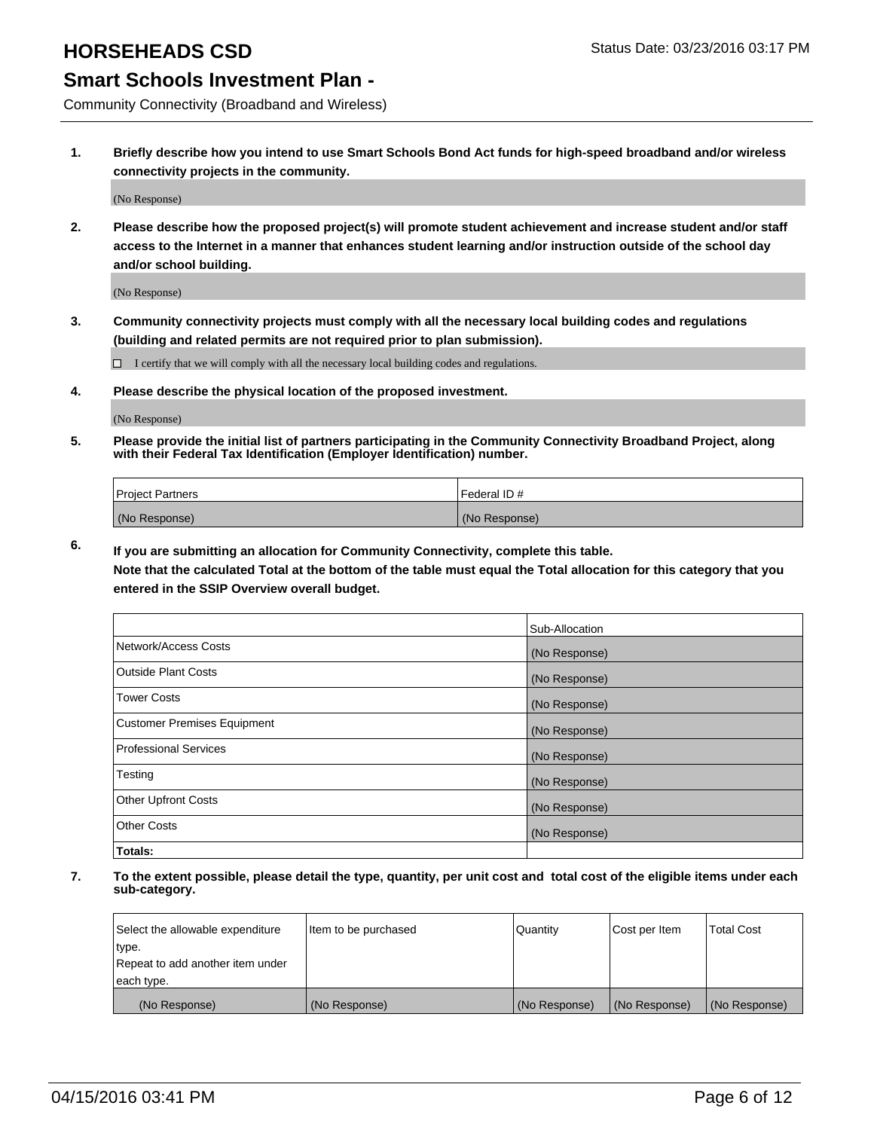## **HORSEHEADS CSD Status Date: 03/23/2016 03:17 PM**

## **Smart Schools Investment Plan -**

Community Connectivity (Broadband and Wireless)

**1. Briefly describe how you intend to use Smart Schools Bond Act funds for high-speed broadband and/or wireless connectivity projects in the community.**

(No Response)

**2. Please describe how the proposed project(s) will promote student achievement and increase student and/or staff access to the Internet in a manner that enhances student learning and/or instruction outside of the school day and/or school building.**

(No Response)

**3. Community connectivity projects must comply with all the necessary local building codes and regulations (building and related permits are not required prior to plan submission).**

 $\Box$  I certify that we will comply with all the necessary local building codes and regulations.

**4. Please describe the physical location of the proposed investment.**

(No Response)

**5. Please provide the initial list of partners participating in the Community Connectivity Broadband Project, along with their Federal Tax Identification (Employer Identification) number.**

| <b>Project Partners</b> | I Federal ID # |
|-------------------------|----------------|
| (No Response)           | (No Response)  |

**6. If you are submitting an allocation for Community Connectivity, complete this table.**

**Note that the calculated Total at the bottom of the table must equal the Total allocation for this category that you entered in the SSIP Overview overall budget.**

|                                    | Sub-Allocation |
|------------------------------------|----------------|
| Network/Access Costs               | (No Response)  |
| Outside Plant Costs                | (No Response)  |
| Tower Costs                        | (No Response)  |
| <b>Customer Premises Equipment</b> | (No Response)  |
| Professional Services              | (No Response)  |
| Testing                            | (No Response)  |
| <b>Other Upfront Costs</b>         | (No Response)  |
| Other Costs                        | (No Response)  |
| Totals:                            |                |

| Select the allowable expenditure | litem to be purchased | Quantity      | Cost per Item | <b>Total Cost</b> |
|----------------------------------|-----------------------|---------------|---------------|-------------------|
| type.                            |                       |               |               |                   |
| Repeat to add another item under |                       |               |               |                   |
| each type.                       |                       |               |               |                   |
| (No Response)                    | (No Response)         | (No Response) | (No Response) | (No Response)     |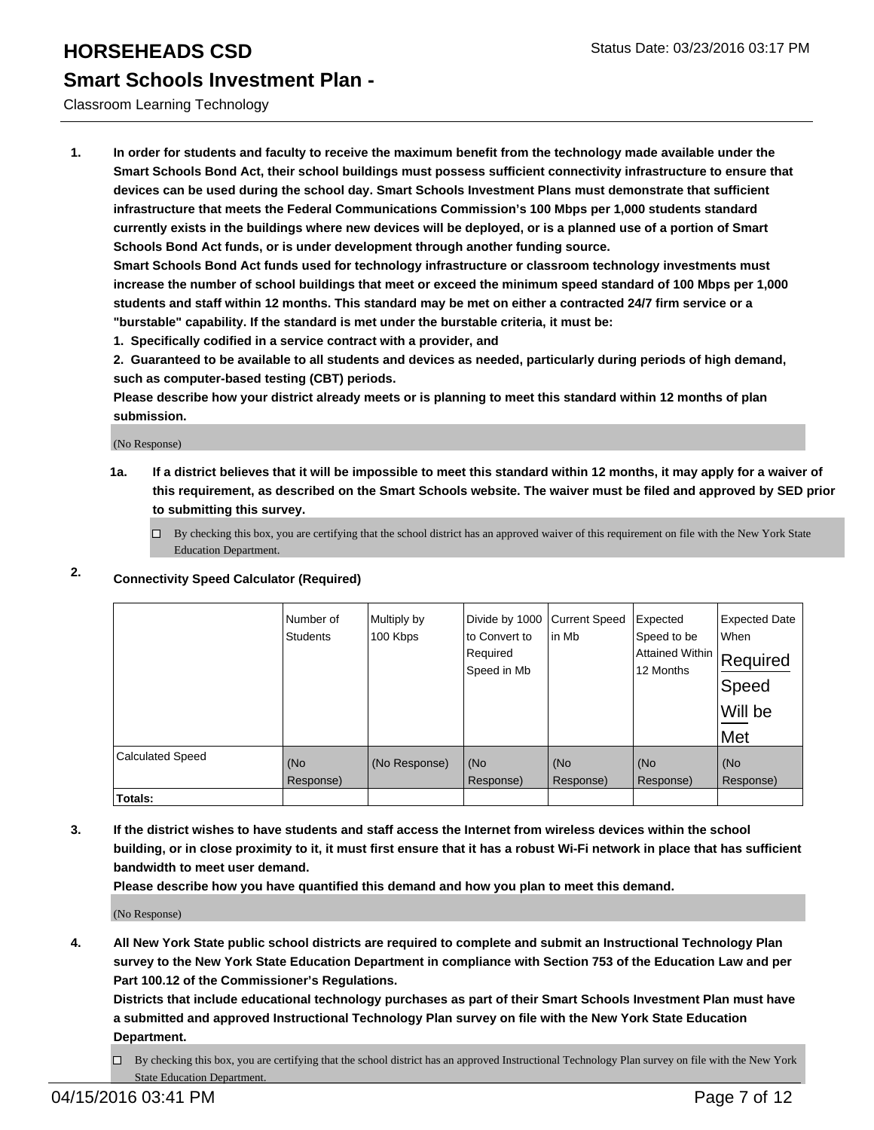#### Classroom Learning Technology

**1. In order for students and faculty to receive the maximum benefit from the technology made available under the Smart Schools Bond Act, their school buildings must possess sufficient connectivity infrastructure to ensure that devices can be used during the school day. Smart Schools Investment Plans must demonstrate that sufficient infrastructure that meets the Federal Communications Commission's 100 Mbps per 1,000 students standard currently exists in the buildings where new devices will be deployed, or is a planned use of a portion of Smart Schools Bond Act funds, or is under development through another funding source.**

**Smart Schools Bond Act funds used for technology infrastructure or classroom technology investments must increase the number of school buildings that meet or exceed the minimum speed standard of 100 Mbps per 1,000 students and staff within 12 months. This standard may be met on either a contracted 24/7 firm service or a "burstable" capability. If the standard is met under the burstable criteria, it must be:**

**1. Specifically codified in a service contract with a provider, and**

**2. Guaranteed to be available to all students and devices as needed, particularly during periods of high demand, such as computer-based testing (CBT) periods.**

**Please describe how your district already meets or is planning to meet this standard within 12 months of plan submission.**

(No Response)

**1a. If a district believes that it will be impossible to meet this standard within 12 months, it may apply for a waiver of this requirement, as described on the Smart Schools website. The waiver must be filed and approved by SED prior to submitting this survey.**

 $\Box$  By checking this box, you are certifying that the school district has an approved waiver of this requirement on file with the New York State Education Department.

### **2. Connectivity Speed Calculator (Required)**

|                         | Number of<br><b>Students</b> | Multiply by<br>100 Kbps | Divide by 1000<br>to Convert to<br>Required<br>Speed in Mb | <b>Current Speed</b><br>lin Mb | Expected<br>Speed to be<br> Attained Within   Required<br>12 Months | <b>Expected Date</b><br>When<br>Speed<br>Will be<br>Met |
|-------------------------|------------------------------|-------------------------|------------------------------------------------------------|--------------------------------|---------------------------------------------------------------------|---------------------------------------------------------|
| <b>Calculated Speed</b> | (No<br>Response)             | (No Response)           | (No<br>Response)                                           | (No<br>Response)               | (No<br>Response)                                                    | (No<br>Response)                                        |
| <b>Totals:</b>          |                              |                         |                                                            |                                |                                                                     |                                                         |

**3. If the district wishes to have students and staff access the Internet from wireless devices within the school building, or in close proximity to it, it must first ensure that it has a robust Wi-Fi network in place that has sufficient bandwidth to meet user demand.**

**Please describe how you have quantified this demand and how you plan to meet this demand.**

(No Response)

**4. All New York State public school districts are required to complete and submit an Instructional Technology Plan survey to the New York State Education Department in compliance with Section 753 of the Education Law and per Part 100.12 of the Commissioner's Regulations.**

**Districts that include educational technology purchases as part of their Smart Schools Investment Plan must have a submitted and approved Instructional Technology Plan survey on file with the New York State Education Department.**

By checking this box, you are certifying that the school district has an approved Instructional Technology Plan survey on file with the New York State Education Department.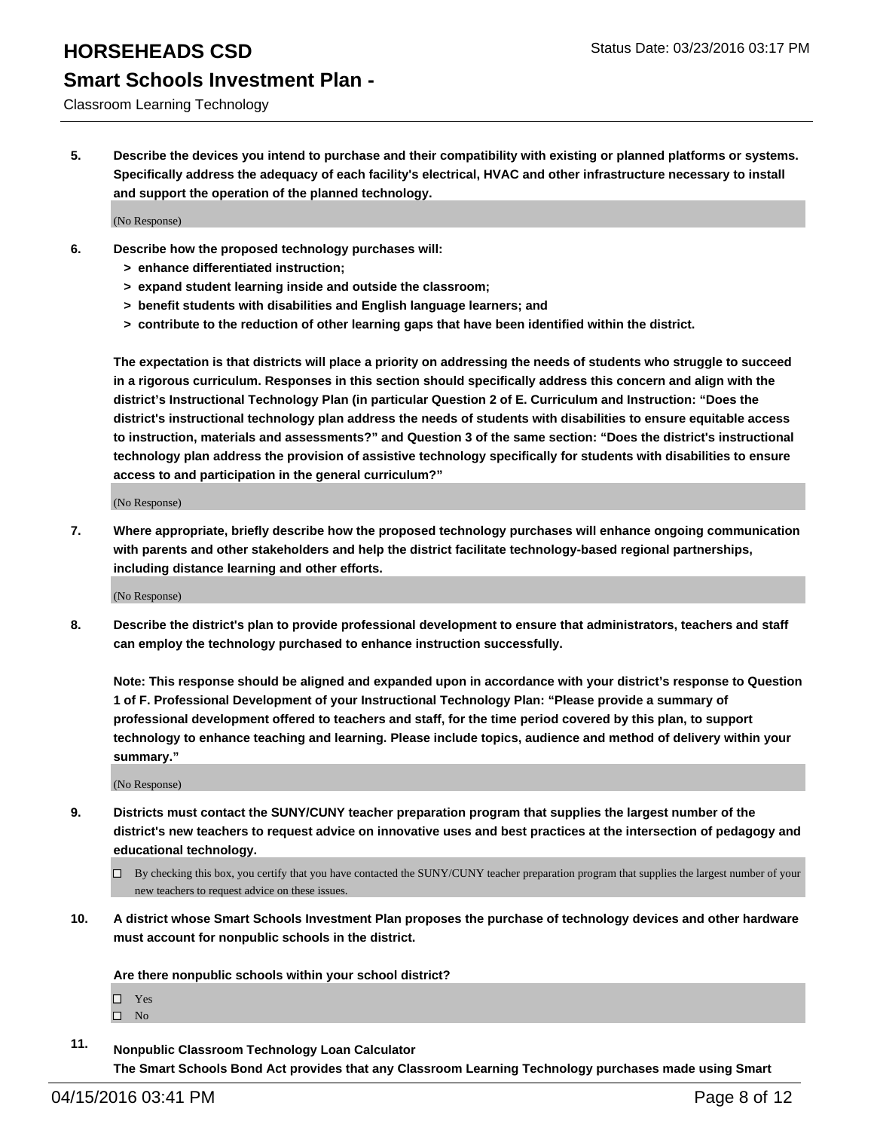# **Smart Schools Investment Plan -**

#### Classroom Learning Technology

**5. Describe the devices you intend to purchase and their compatibility with existing or planned platforms or systems. Specifically address the adequacy of each facility's electrical, HVAC and other infrastructure necessary to install and support the operation of the planned technology.**

(No Response)

- **6. Describe how the proposed technology purchases will:**
	- **> enhance differentiated instruction;**
	- **> expand student learning inside and outside the classroom;**
	- **> benefit students with disabilities and English language learners; and**
	- **> contribute to the reduction of other learning gaps that have been identified within the district.**

**The expectation is that districts will place a priority on addressing the needs of students who struggle to succeed in a rigorous curriculum. Responses in this section should specifically address this concern and align with the district's Instructional Technology Plan (in particular Question 2 of E. Curriculum and Instruction: "Does the district's instructional technology plan address the needs of students with disabilities to ensure equitable access to instruction, materials and assessments?" and Question 3 of the same section: "Does the district's instructional technology plan address the provision of assistive technology specifically for students with disabilities to ensure access to and participation in the general curriculum?"**

(No Response)

**7. Where appropriate, briefly describe how the proposed technology purchases will enhance ongoing communication with parents and other stakeholders and help the district facilitate technology-based regional partnerships, including distance learning and other efforts.**

(No Response)

**8. Describe the district's plan to provide professional development to ensure that administrators, teachers and staff can employ the technology purchased to enhance instruction successfully.**

**Note: This response should be aligned and expanded upon in accordance with your district's response to Question 1 of F. Professional Development of your Instructional Technology Plan: "Please provide a summary of professional development offered to teachers and staff, for the time period covered by this plan, to support technology to enhance teaching and learning. Please include topics, audience and method of delivery within your summary."**

(No Response)

- **9. Districts must contact the SUNY/CUNY teacher preparation program that supplies the largest number of the district's new teachers to request advice on innovative uses and best practices at the intersection of pedagogy and educational technology.**
	- $\Box$  By checking this box, you certify that you have contacted the SUNY/CUNY teacher preparation program that supplies the largest number of your new teachers to request advice on these issues.
- **10. A district whose Smart Schools Investment Plan proposes the purchase of technology devices and other hardware must account for nonpublic schools in the district.**

**Are there nonpublic schools within your school district?**

□ Yes  $\square$  No

**11. Nonpublic Classroom Technology Loan Calculator The Smart Schools Bond Act provides that any Classroom Learning Technology purchases made using Smart**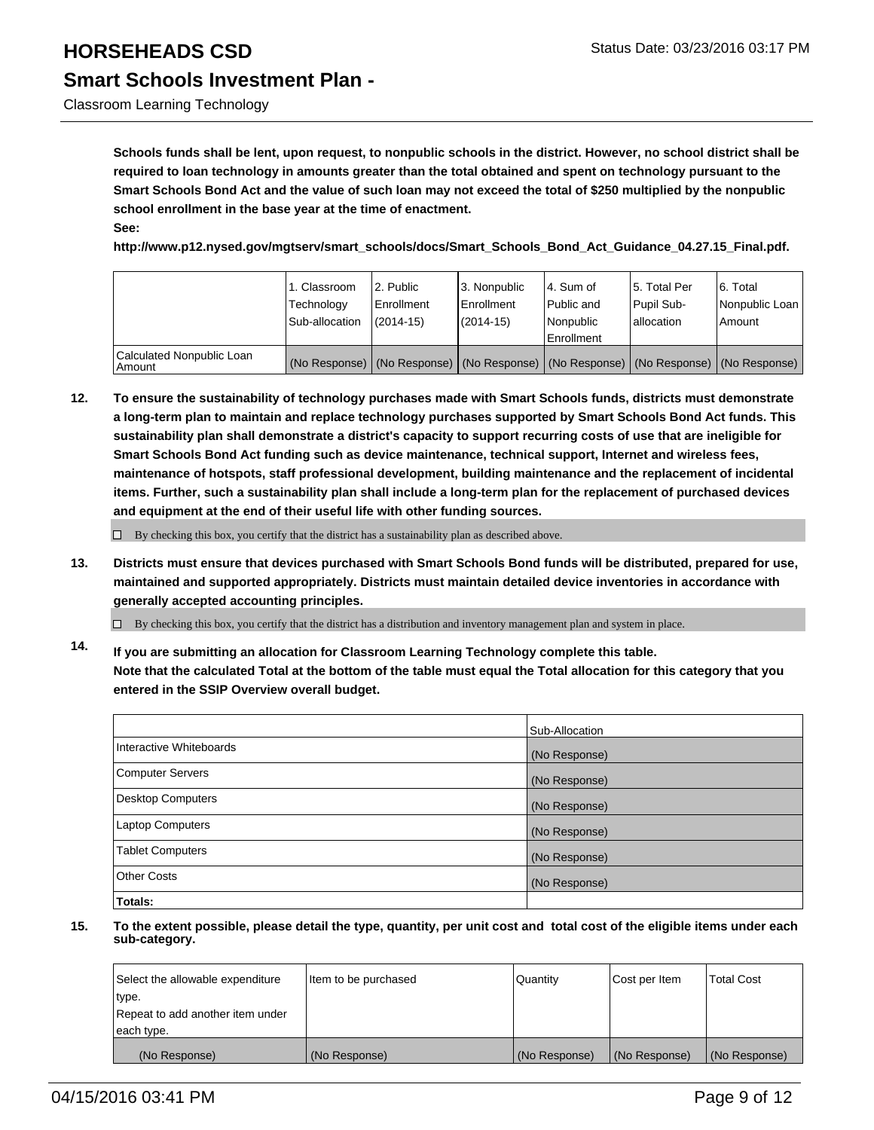Classroom Learning Technology

**Schools funds shall be lent, upon request, to nonpublic schools in the district. However, no school district shall be required to loan technology in amounts greater than the total obtained and spent on technology pursuant to the Smart Schools Bond Act and the value of such loan may not exceed the total of \$250 multiplied by the nonpublic school enrollment in the base year at the time of enactment. See:**

**http://www.p12.nysed.gov/mgtserv/smart\_schools/docs/Smart\_Schools\_Bond\_Act\_Guidance\_04.27.15\_Final.pdf.**

|                                     | 1. Classroom<br>Technology<br>Sub-allocation | 2. Public<br>Enrollment<br>$(2014 - 15)$ | 3. Nonpublic<br><b>Enrollment</b><br>(2014-15)                                                | l 4. Sum of<br>Public and<br>Nonpublic<br>Enrollment | 15. Total Per<br>Pupil Sub-<br>lallocation | 6. Total<br>Nonpublic Loan<br>Amount |
|-------------------------------------|----------------------------------------------|------------------------------------------|-----------------------------------------------------------------------------------------------|------------------------------------------------------|--------------------------------------------|--------------------------------------|
| Calculated Nonpublic Loan<br>Amount |                                              |                                          | (No Response)   (No Response)   (No Response)   (No Response)   (No Response)   (No Response) |                                                      |                                            |                                      |

**12. To ensure the sustainability of technology purchases made with Smart Schools funds, districts must demonstrate a long-term plan to maintain and replace technology purchases supported by Smart Schools Bond Act funds. This sustainability plan shall demonstrate a district's capacity to support recurring costs of use that are ineligible for Smart Schools Bond Act funding such as device maintenance, technical support, Internet and wireless fees, maintenance of hotspots, staff professional development, building maintenance and the replacement of incidental items. Further, such a sustainability plan shall include a long-term plan for the replacement of purchased devices and equipment at the end of their useful life with other funding sources.**

 $\Box$  By checking this box, you certify that the district has a sustainability plan as described above.

**13. Districts must ensure that devices purchased with Smart Schools Bond funds will be distributed, prepared for use, maintained and supported appropriately. Districts must maintain detailed device inventories in accordance with generally accepted accounting principles.**

 $\Box$  By checking this box, you certify that the district has a distribution and inventory management plan and system in place.

**14. If you are submitting an allocation for Classroom Learning Technology complete this table. Note that the calculated Total at the bottom of the table must equal the Total allocation for this category that you entered in the SSIP Overview overall budget.**

|                          | Sub-Allocation |
|--------------------------|----------------|
| Interactive Whiteboards  | (No Response)  |
| <b>Computer Servers</b>  | (No Response)  |
| <b>Desktop Computers</b> | (No Response)  |
| <b>Laptop Computers</b>  | (No Response)  |
| <b>Tablet Computers</b>  | (No Response)  |
| Other Costs              | (No Response)  |
| Totals:                  |                |

| Select the allowable expenditure | Item to be purchased | Quantity      | Cost per Item | Total Cost    |
|----------------------------------|----------------------|---------------|---------------|---------------|
| type.                            |                      |               |               |               |
| Repeat to add another item under |                      |               |               |               |
| each type.                       |                      |               |               |               |
| (No Response)                    | (No Response)        | (No Response) | (No Response) | (No Response) |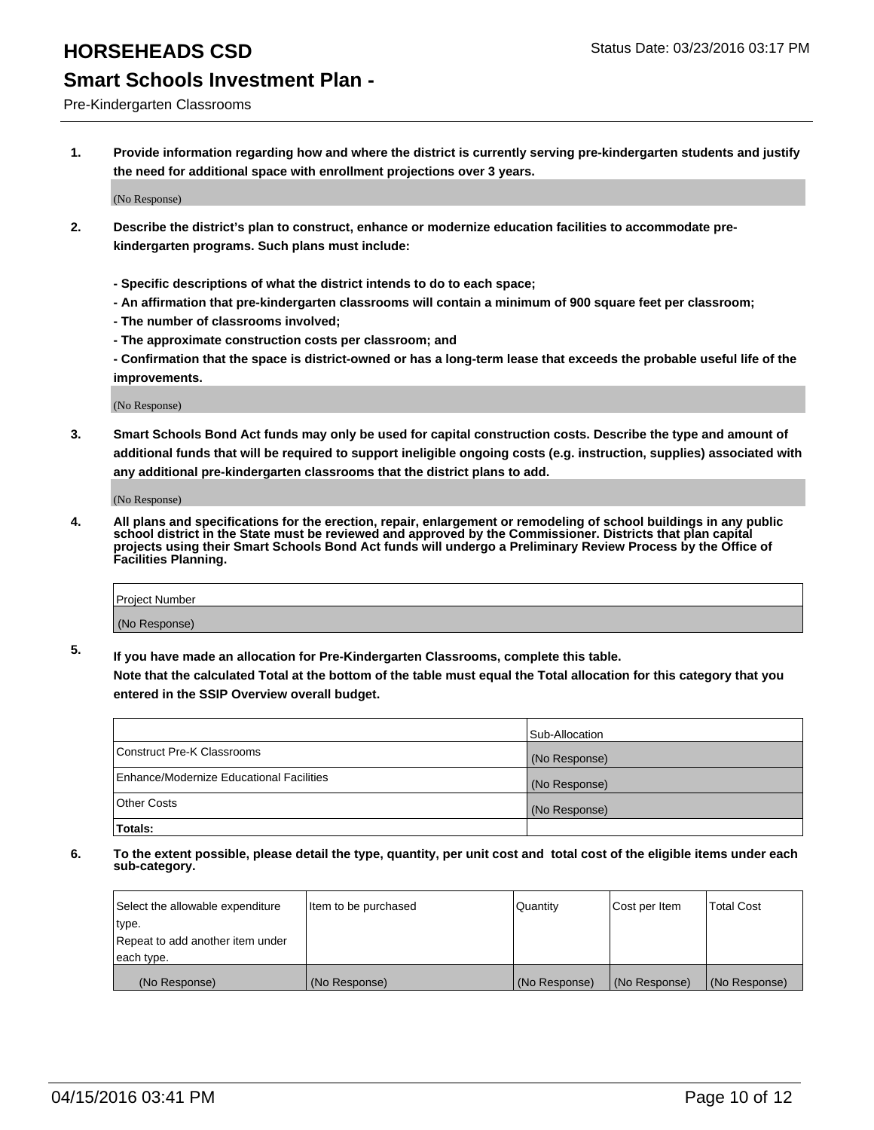#### Pre-Kindergarten Classrooms

**1. Provide information regarding how and where the district is currently serving pre-kindergarten students and justify the need for additional space with enrollment projections over 3 years.**

(No Response)

- **2. Describe the district's plan to construct, enhance or modernize education facilities to accommodate prekindergarten programs. Such plans must include:**
	- **Specific descriptions of what the district intends to do to each space;**
	- **An affirmation that pre-kindergarten classrooms will contain a minimum of 900 square feet per classroom;**
	- **The number of classrooms involved;**
	- **The approximate construction costs per classroom; and**
	- **Confirmation that the space is district-owned or has a long-term lease that exceeds the probable useful life of the improvements.**

(No Response)

**3. Smart Schools Bond Act funds may only be used for capital construction costs. Describe the type and amount of additional funds that will be required to support ineligible ongoing costs (e.g. instruction, supplies) associated with any additional pre-kindergarten classrooms that the district plans to add.**

(No Response)

**4. All plans and specifications for the erection, repair, enlargement or remodeling of school buildings in any public school district in the State must be reviewed and approved by the Commissioner. Districts that plan capital projects using their Smart Schools Bond Act funds will undergo a Preliminary Review Process by the Office of Facilities Planning.**

| Project Number |  |
|----------------|--|
| (No Response)  |  |

**5. If you have made an allocation for Pre-Kindergarten Classrooms, complete this table. Note that the calculated Total at the bottom of the table must equal the Total allocation for this category that you**

**entered in the SSIP Overview overall budget.**

| <b>Totals:</b>                           |                |
|------------------------------------------|----------------|
| Other Costs                              | (No Response)  |
| Enhance/Modernize Educational Facilities | (No Response)  |
| Construct Pre-K Classrooms               | (No Response)  |
|                                          | Sub-Allocation |

| Select the allowable expenditure | Item to be purchased | l Quantitv    | Cost per Item | <b>Total Cost</b> |
|----------------------------------|----------------------|---------------|---------------|-------------------|
| type.                            |                      |               |               |                   |
| Repeat to add another item under |                      |               |               |                   |
| each type.                       |                      |               |               |                   |
| (No Response)                    | (No Response)        | (No Response) | (No Response) | (No Response)     |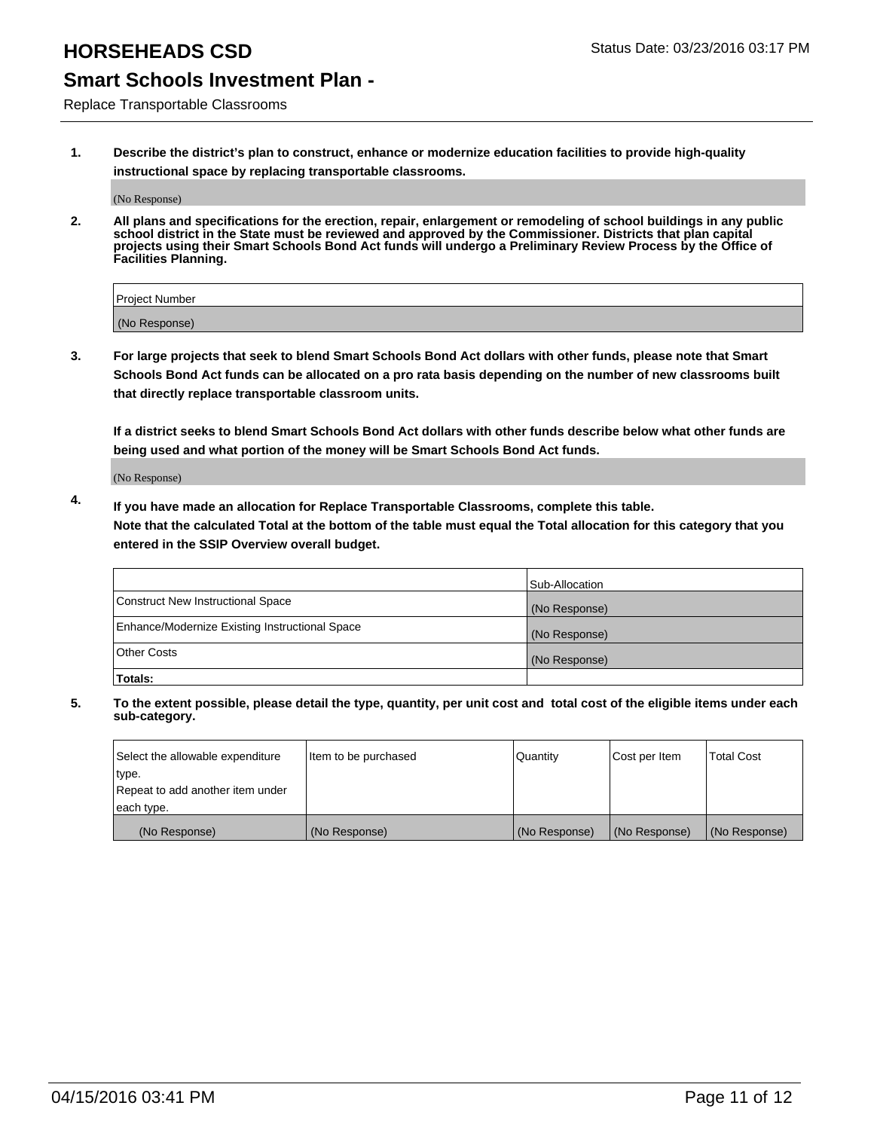## **HORSEHEADS CSD Status Date: 03/23/2016 03:17 PM**

## **Smart Schools Investment Plan -**

Replace Transportable Classrooms

**1. Describe the district's plan to construct, enhance or modernize education facilities to provide high-quality instructional space by replacing transportable classrooms.**

(No Response)

**2. All plans and specifications for the erection, repair, enlargement or remodeling of school buildings in any public school district in the State must be reviewed and approved by the Commissioner. Districts that plan capital projects using their Smart Schools Bond Act funds will undergo a Preliminary Review Process by the Office of Facilities Planning.**

| Project Number |  |
|----------------|--|
| (No Response)  |  |

**3. For large projects that seek to blend Smart Schools Bond Act dollars with other funds, please note that Smart Schools Bond Act funds can be allocated on a pro rata basis depending on the number of new classrooms built that directly replace transportable classroom units.**

**If a district seeks to blend Smart Schools Bond Act dollars with other funds describe below what other funds are being used and what portion of the money will be Smart Schools Bond Act funds.**

(No Response)

**4. If you have made an allocation for Replace Transportable Classrooms, complete this table. Note that the calculated Total at the bottom of the table must equal the Total allocation for this category that you entered in the SSIP Overview overall budget.**

|                                                | Sub-Allocation |
|------------------------------------------------|----------------|
| Construct New Instructional Space              | (No Response)  |
| Enhance/Modernize Existing Instructional Space | (No Response)  |
| <b>Other Costs</b>                             | (No Response)  |
| Totals:                                        |                |

| Select the allowable expenditure | Item to be purchased | Quantity      | Cost per Item | <b>Total Cost</b> |
|----------------------------------|----------------------|---------------|---------------|-------------------|
| type.                            |                      |               |               |                   |
| Repeat to add another item under |                      |               |               |                   |
| each type.                       |                      |               |               |                   |
| (No Response)                    | (No Response)        | (No Response) | (No Response) | (No Response)     |